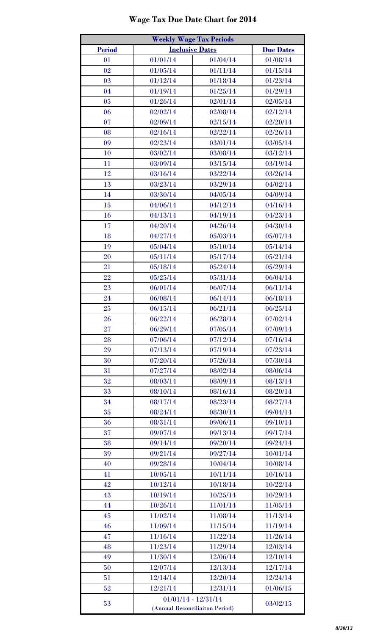## **Wage Tax Due Date Chart for 2014**

| <b>Weekly Wage Tax Periods</b> |                                |                        |                  |  |  |
|--------------------------------|--------------------------------|------------------------|------------------|--|--|
| <b>Period</b>                  |                                | <b>Inclusive Dates</b> | <b>Due Dates</b> |  |  |
| 01                             | 01/01/14                       | 01/04/14               | 01/08/14         |  |  |
| 02                             | 01/05/14                       | 01/11/14               | 01/15/14         |  |  |
| 03                             | 01/12/14                       | 01/18/14               | 01/23/14         |  |  |
| 04                             | 01/19/14                       | 01/25/14               | 01/29/14         |  |  |
| 05                             | 01/26/14                       | 02/01/14               | 02/05/14         |  |  |
| 06                             | 02/02/14                       | 02/08/14               | 02/12/14         |  |  |
| 07                             | 02/09/14                       | 02/15/14               | 02/20/14         |  |  |
| 08                             | 02/16/14                       | 02/22/14               | 02/26/14         |  |  |
| 09                             | 02/23/14                       | 03/01/14               | 03/05/14         |  |  |
| 10                             | 03/02/14                       | 03/08/14               | 03/12/14         |  |  |
| 11                             | 03/09/14                       | 03/15/14               | 03/19/14         |  |  |
| 12                             | 03/16/14                       | 03/22/14               | 03/26/14         |  |  |
| 13                             | 03/23/14                       | 03/29/14               | 04/02/14         |  |  |
| 14                             | 03/30/14                       | 04/05/14               | 04/09/14         |  |  |
| 15                             | 04/06/14                       | 04/12/14               | 04/16/14         |  |  |
| 16                             | 04/13/14                       | 04/19/14               | 04/23/14         |  |  |
| 17                             | 04/20/14                       | 04/26/14               | 04/30/14         |  |  |
| 18                             | 04/27/14                       | 05/03/14               | 05/07/14         |  |  |
| 19                             | 05/04/14                       | 05/10/14               | 05/14/14         |  |  |
| 20                             | 05/11/14                       | 05/17/14               | 05/21/14         |  |  |
| 21                             | 05/18/14                       | 05/24/14               | 05/29/14         |  |  |
| 22                             | 05/25/14                       | 05/31/14               | 06/04/14         |  |  |
| 23                             | 06/01/14                       | 06/07/14               | 06/11/14         |  |  |
| 24                             | 06/08/14                       | 06/14/14               | 06/18/14         |  |  |
| 25                             | 06/15/14                       | 06/21/14               | 06/25/14         |  |  |
| 26                             | 06/22/14                       | 06/28/14               | 07/02/14         |  |  |
| 27                             | 06/29/14                       | 07/05/14               | 07/09/14         |  |  |
| 28                             | 07/06/14                       | 07/12/14               | 07/16/14         |  |  |
| 29                             | 07/13/14                       | 07/19/14               | 07/23/14         |  |  |
| 30                             | 07/20/14                       | 07/26/14               | 07/30/14         |  |  |
| 31                             | 07/27/14                       | 08/02/14               | 08/06/14         |  |  |
| 32                             | 08/03/14                       | 08/09/14               | 08/13/14         |  |  |
| 33                             | 08/10/14                       | 08/16/14               | 08/20/14         |  |  |
| 34                             | 08/17/14                       | 08/23/14               | 08/27/14         |  |  |
| 35                             | 08/24/14                       | 08/30/14               | 09/04/14         |  |  |
| 36                             | 08/31/14                       | 09/06/14               | 09/10/14         |  |  |
| 37                             | 09/07/14                       | 09/13/14               | 09/17/14         |  |  |
| 38                             | 09/14/14                       | 09/20/14               | 09/24/14         |  |  |
| 39                             | 09/21/14                       | 09/27/14               | 10/01/14         |  |  |
| 40                             | 09/28/14                       | 10/04/14               | 10/08/14         |  |  |
| 41                             | 10/05/14                       | 10/11/14               | 10/16/14         |  |  |
| 42                             | 10/12/14                       | 10/18/14               | 10/22/14         |  |  |
| 43                             | 10/19/14                       | 10/25/14               | 10/29/14         |  |  |
| 44                             | 10/26/14                       | 11/01/14               | 11/05/14         |  |  |
| 45                             | 11/02/14                       | 11/08/14               | 11/13/14         |  |  |
| 46                             | 11/09/14                       | 11/15/14               | 11/19/14         |  |  |
| 47                             | 11/16/14                       | 11/22/14               | 11/26/14         |  |  |
| 48                             | 11/23/14                       | 11/29/14               | 12/03/14         |  |  |
| 49                             | 11/30/14                       | 12/06/14               | 12/10/14         |  |  |
| 50                             | 12/07/14                       | 12/13/14               | 12/17/14         |  |  |
| 51                             | 12/14/14                       | 12/20/14               | 12/24/14         |  |  |
| 52                             | 12/21/14                       | 12/31/14               | 01/06/15         |  |  |
|                                |                                | $01/01/14 - 12/31/14$  |                  |  |  |
| 53                             | (Annual Reconciliaiton Period) |                        | 03/02/15         |  |  |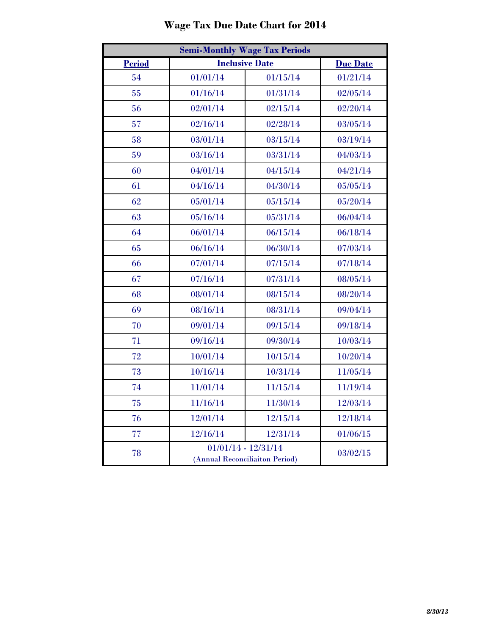| <b>Semi-Monthly Wage Tax Periods</b> |          |                                                         |                 |  |
|--------------------------------------|----------|---------------------------------------------------------|-----------------|--|
| <b>Period</b>                        |          | <b>Inclusive Date</b>                                   | <b>Due Date</b> |  |
| 54                                   | 01/01/14 | 01/15/14                                                | 01/21/14        |  |
| 55                                   | 01/16/14 | 01/31/14                                                | 02/05/14        |  |
| 56                                   | 02/01/14 | 02/15/14                                                | 02/20/14        |  |
| 57                                   | 02/16/14 | 02/28/14                                                | 03/05/14        |  |
| 58                                   | 03/01/14 | 03/15/14                                                | 03/19/14        |  |
| 59                                   | 03/16/14 | 03/31/14                                                | 04/03/14        |  |
| 60                                   | 04/01/14 | 04/15/14                                                | 04/21/14        |  |
| 61                                   | 04/16/14 | 04/30/14                                                | 05/05/14        |  |
| 62                                   | 05/01/14 | 05/15/14                                                | 05/20/14        |  |
| 63                                   | 05/16/14 | 05/31/14                                                | 06/04/14        |  |
| 64                                   | 06/01/14 | 06/15/14                                                | 06/18/14        |  |
| 65                                   | 06/16/14 | 06/30/14                                                | 07/03/14        |  |
| 66                                   | 07/01/14 | 07/15/14                                                | 07/18/14        |  |
| 67                                   | 07/16/14 | 07/31/14                                                | 08/05/14        |  |
| 68                                   | 08/01/14 | 08/15/14                                                | 08/20/14        |  |
| 69                                   | 08/16/14 | 08/31/14                                                | 09/04/14        |  |
| 70                                   | 09/01/14 | 09/15/14                                                | 09/18/14        |  |
| 71                                   | 09/16/14 | 09/30/14                                                | 10/03/14        |  |
| 72                                   | 10/01/14 | 10/15/14                                                | 10/20/14        |  |
| 73                                   | 10/16/14 | 10/31/14                                                | 11/05/14        |  |
| 74                                   | 11/01/14 | 11/15/14                                                | 11/19/14        |  |
| 75                                   | 11/16/14 | 11/30/14                                                | 12/03/14        |  |
| 76                                   | 12/01/14 | 12/15/14                                                | 12/18/14        |  |
| 77                                   | 12/16/14 | 12/31/14                                                | 01/06/15        |  |
| 78                                   |          | $01/01/14 - 12/31/14$<br>(Annual Reconciliaiton Period) | 03/02/15        |  |

## **Wage Tax Due Date Chart for 2014**